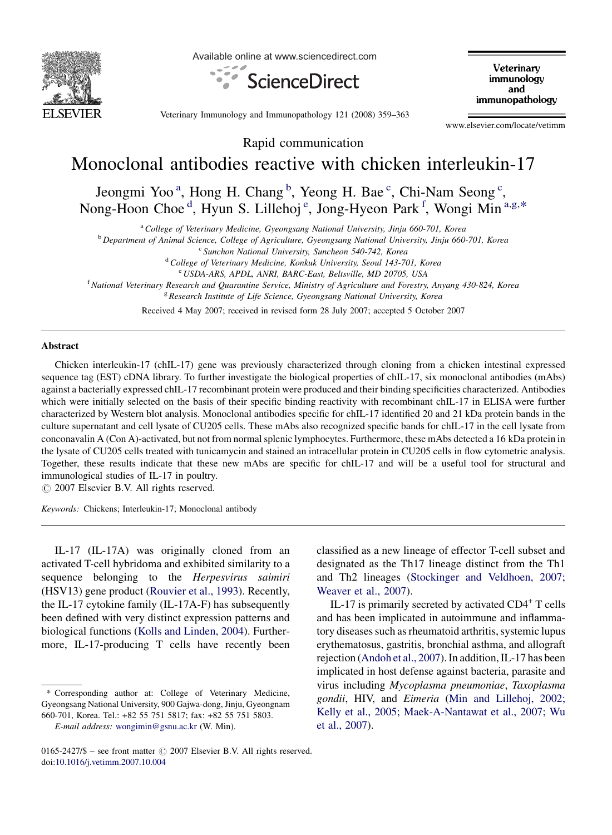

Available online at www.sciencedirect.com



Veterinary immunology and immunopathology

Veterinary Immunology and Immunopathology 121 (2008) 359–363

www.elsevier.com/locate/vetimm

Rapid communication

## Monoclonal antibodies reactive with chicken interleukin-17

Jeongmi Yoo<sup>a</sup>, Hong H. Chang<sup>b</sup>, Yeong H. Bae<sup>c</sup>, Chi-Nam Seong<sup>c</sup>, Nong-Hoon Choe<sup>d</sup>, Hyun S. Lillehoj<sup>e</sup>, Jong-Hyeon Park<sup>f</sup>, Wongi Min<sup>a,g,\*</sup>

<sup>a</sup> College of Veterinary Medicine, Gyeongsang National University, Jinju 660-701, Korea

<sup>b</sup> Department of Animal Science, College of Agriculture, Gyeongsang National University, Jinju 660-701, Korea

<sup>c</sup> Sunchon National University, Suncheon 540-742, Korea

<sup>d</sup> College of Veterinary Medicine, Konkuk University, Seoul 143-701, Korea

e USDA-ARS, APDL, ANRI, BARC-East, Beltsville, MD 20705, USA

<sup>f</sup> National Veterinary Research and Quarantine Service, Ministry of Agriculture and Forestry, Anyang 430-824, Korea

<sup>g</sup> Research Institute of Life Science, Gyeongsang National University, Korea

Received 4 May 2007; received in revised form 28 July 2007; accepted 5 October 2007

## Abstract

Chicken interleukin-17 (chIL-17) gene was previously characterized through cloning from a chicken intestinal expressed sequence tag (EST) cDNA library. To further investigate the biological properties of chIL-17, six monoclonal antibodies (mAbs) against a bacterially expressed chIL-17 recombinant protein were produced and their binding specificities characterized. Antibodies which were initially selected on the basis of their specific binding reactivity with recombinant chIL-17 in ELISA were further characterized by Western blot analysis. Monoclonal antibodies specific for chIL-17 identified 20 and 21 kDa protein bands in the culture supernatant and cell lysate of CU205 cells. These mAbs also recognized specific bands for chIL-17 in the cell lysate from conconavalin A (Con A)-activated, but not from normal splenic lymphocytes. Furthermore, these mAbs detected a 16 kDa protein in the lysate of CU205 cells treated with tunicamycin and stained an intracellular protein in CU205 cells in flow cytometric analysis. Together, these results indicate that these new mAbs are specific for chIL-17 and will be a useful tool for structural and immunological studies of IL-17 in poultry.

 $\circ$  2007 Elsevier B.V. All rights reserved.

Keywords: Chickens; Interleukin-17; Monoclonal antibody

IL-17 (IL-17A) was originally cloned from an activated T-cell hybridoma and exhibited similarity to a sequence belonging to the Herpesvirus saimiri (HSV13) gene product [\(Rouvier et al., 1993](#page-4-0)). Recently, the IL-17 cytokine family (IL-17A-F) has subsequently been defined with very distinct expression patterns and biological functions ([Kolls and Linden, 2004\)](#page-4-0). Furthermore, IL-17-producing T cells have recently been

\* Corresponding author at: College of Veterinary Medicine, Gyeongsang National University, 900 Gajwa-dong, Jinju, Gyeongnam 660-701, Korea. Tel.: +82 55 751 5817; fax: +82 55 751 5803.

classified as a new lineage of effector T-cell subset and designated as the Th17 lineage distinct from the Th1 and Th2 lineages [\(Stockinger and Veldhoen, 2007;](#page-4-0) [Weaver et al., 2007\)](#page-4-0).

IL-17 is primarily secreted by activated CD4+ T cells and has been implicated in autoimmune and inflammatory diseases such as rheumatoid arthritis, systemic lupus erythematosus, gastritis, bronchial asthma, and allograft rejection [\(Andoh et al., 2007\)](#page-4-0). In addition, IL-17 has been implicated in host defense against bacteria, parasite and virus including Mycoplasma pneumoniae, Taxoplasma gondii, HIV, and Eimeria ([Min and Lillehoj, 2002;](#page-4-0) [Kelly et al., 2005; Maek-A-Nantawat et al., 2007; Wu](#page-4-0) [et al., 2007\)](#page-4-0).

E-mail address: [wongimin@gsnu.ac.kr](mailto:wongimin@gsnu.ac.kr) (W. Min).

<sup>0165-2427/\$ –</sup> see front matter  $\odot$  2007 Elsevier B.V. All rights reserved. doi[:10.1016/j.vetimm.2007.10.004](http://dx.doi.org/10.1016/j.vetimm.2007.10.004)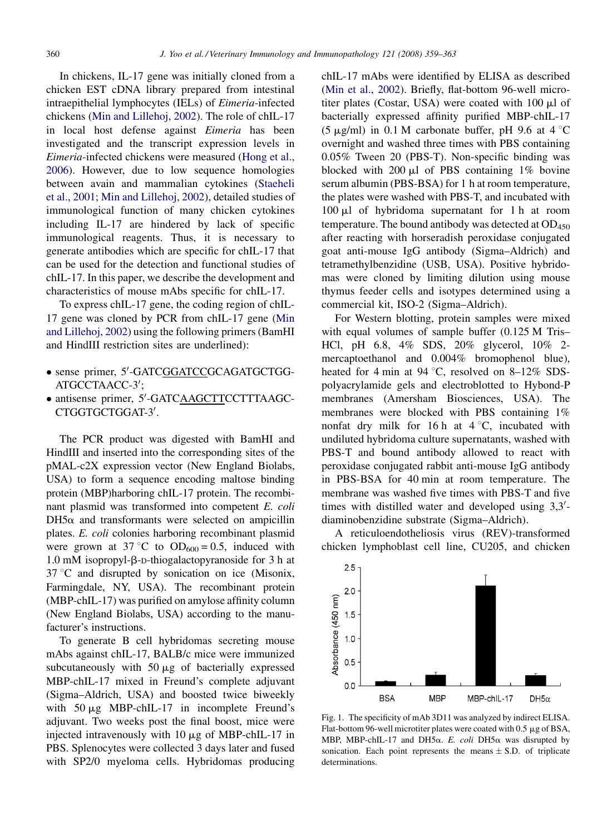<span id="page-1-0"></span>In chickens, IL-17 gene was initially cloned from a chicken EST cDNA library prepared from intestinal intraepithelial lymphocytes (IELs) of Eimeria-infected chickens ([Min and Lillehoj, 2002\)](#page-4-0). The role of chIL-17 in local host defense against Eimeria has been investigated and the transcript expression levels in Eimeria-infected chickens were measured [\(Hong et al.,](#page-4-0) [2006](#page-4-0)). However, due to low sequence homologies between avain and mammalian cytokines ([Staeheli](#page-4-0) [et al., 2001; Min and Lillehoj, 2002\)](#page-4-0), detailed studies of immunological function of many chicken cytokines including IL-17 are hindered by lack of specific immunological reagents. Thus, it is necessary to generate antibodies which are specific for chIL-17 that can be used for the detection and functional studies of chIL-17. In this paper, we describe the development and characteristics of mouse mAbs specific for chIL-17.

To express chIL-17 gene, the coding region of chIL-17 gene was cloned by PCR from chIL-17 gene ([Min](#page-4-0) [and Lillehoj, 2002\)](#page-4-0) using the following primers (BamHI and HindIII restriction sites are underlined):

- · sense primer, 5'-GATCGGATCCGCAGATGCTGG-ATGCCTAACC-3';
- · antisense primer, 5'-GATCAAGCTTCCTTTAAGC-CTGGTGCTGGAT-3'.

The PCR product was digested with BamHI and HindIII and inserted into the corresponding sites of the pMAL-c2X expression vector (New England Biolabs, USA) to form a sequence encoding maltose binding protein (MBP)harboring chIL-17 protein. The recombinant plasmid was transformed into competent E. coli  $DH5\alpha$  and transformants were selected on ampicillin plates. E. coli colonies harboring recombinant plasmid were grown at 37 °C to  $OD_{600} = 0.5$ , induced with  $1.0 \text{ mM}$  isopropyl- $\beta$ -D-thiogalactopyranoside for 3 h at  $37^{\circ}$ C and disrupted by sonication on ice (Misonix, Farmingdale, NY, USA). The recombinant protein (MBP-chIL-17) was purified on amylose affinity column (New England Biolabs, USA) according to the manufacturer's instructions.

To generate B cell hybridomas secreting mouse mAbs against chIL-17, BALB/c mice were immunized subcutaneously with  $50 \mu g$  of bacterially expressed MBP-chIL-17 mixed in Freund's complete adjuvant (Sigma–Aldrich, USA) and boosted twice biweekly with  $50 \mu g$  MBP-chIL-17 in incomplete Freund's adjuvant. Two weeks post the final boost, mice were injected intravenously with  $10 \mu$ g of MBP-chIL-17 in PBS. Splenocytes were collected 3 days later and fused with SP2/0 myeloma cells. Hybridomas producing chIL-17 mAbs were identified by ELISA as described ([Min et al., 2002](#page-4-0)). Briefly, flat-bottom 96-well microtiter plates (Costar, USA) were coated with  $100 \mu l$  of bacterially expressed affinity purified MBP-chIL-17 (5  $\mu$ g/ml) in 0.1 M carbonate buffer, pH 9.6 at 4 °C overnight and washed three times with PBS containing 0.05% Tween 20 (PBS-T). Non-specific binding was blocked with  $200 \mu l$  of PBS containing 1% bovine serum albumin (PBS-BSA) for 1 h at room temperature, the plates were washed with PBS-T, and incubated with  $100 \mu l$  of hybridoma supernatant for 1 h at room temperature. The bound antibody was detected at  $OD_{450}$ after reacting with horseradish peroxidase conjugated goat anti-mouse IgG antibody (Sigma–Aldrich) and tetramethylbenzidine (USB, USA). Positive hybridomas were cloned by limiting dilution using mouse thymus feeder cells and isotypes determined using a commercial kit, ISO-2 (Sigma–Aldrich).

For Western blotting, protein samples were mixed with equal volumes of sample buffer (0.125 M Tris– HCl, pH 6.8, 4% SDS, 20% glycerol, 10% 2 mercaptoethanol and 0.004% bromophenol blue), heated for 4 min at 94  $^{\circ}$ C, resolved on 8–12% SDSpolyacrylamide gels and electroblotted to Hybond-P membranes (Amersham Biosciences, USA). The membranes were blocked with PBS containing 1% nonfat dry milk for 16 h at  $4^{\circ}$ C, incubated with undiluted hybridoma culture supernatants, washed with PBS-T and bound antibody allowed to react with peroxidase conjugated rabbit anti-mouse IgG antibody in PBS-BSA for 40 min at room temperature. The membrane was washed five times with PBS-T and five times with distilled water and developed using  $3,3'$ diaminobenzidine substrate (Sigma–Aldrich).

A reticuloendotheliosis virus (REV)-transformed chicken lymphoblast cell line, CU205, and chicken



Fig. 1. The specificity of mAb 3D11 was analyzed by indirect ELISA. Flat-bottom 96-well microtiter plates were coated with 0.5  $\mu$ g of BSA, MBP, MBP-chIL-17 and DH5 $\alpha$ . E. coli DH5 $\alpha$  was disrupted by sonication. Each point represents the means  $\pm$  S.D. of triplicate determinations.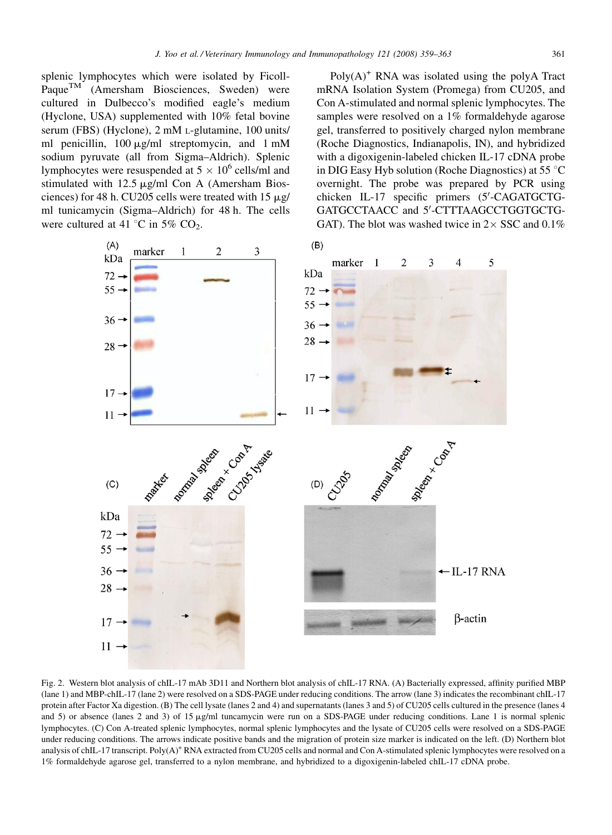<span id="page-2-0"></span>splenic lymphocytes which were isolated by Ficoll-PaqueTM (Amersham Biosciences, Sweden) were cultured in Dulbecco's modified eagle's medium (Hyclone, USA) supplemented with 10% fetal bovine serum (FBS) (Hyclone), 2 mM L-glutamine, 100 units/ ml penicillin, 100  $\mu$ g/ml streptomycin, and 1 mM sodium pyruvate (all from Sigma–Aldrich). Splenic lymphocytes were resuspended at  $5 \times 10^6$  cells/ml and stimulated with  $12.5 \mu g/ml$  Con A (Amersham Biosciences) for 48 h. CU205 cells were treated with  $15 \mu g$ / ml tunicamycin (Sigma–Aldrich) for 48 h. The cells were cultured at 41  $\degree$ C in 5% CO<sub>2</sub>.

 $Poly(A)^+$  RNA was isolated using the polyA Tract mRNA Isolation System (Promega) from CU205, and Con A-stimulated and normal splenic lymphocytes. The samples were resolved on a 1% formaldehyde agarose gel, transferred to positively charged nylon membrane (Roche Diagnostics, Indianapolis, IN), and hybridized with a digoxigenin-labeled chicken IL-17 cDNA probe in DIG Easy Hyb solution (Roche Diagnostics) at 55  $\degree$ C overnight. The probe was prepared by PCR using chicken IL-17 specific primers (5'-CAGATGCTG-GATGCCTAACC and 5'-CTTTAAGCCTGGTGCTG-GAT). The blot was washed twice in  $2 \times$  SSC and 0.1%



Fig. 2. Western blot analysis of chIL-17 mAb 3D11 and Northern blot analysis of chIL-17 RNA. (A) Bacterially expressed, affinity purified MBP (lane 1) and MBP-chIL-17 (lane 2) were resolved on a SDS-PAGE under reducing conditions. The arrow (lane 3) indicates the recombinant chIL-17 protein after Factor Xa digestion. (B) The cell lysate (lanes 2 and 4) and supernatants (lanes 3 and 5) of CU205 cells cultured in the presence (lanes 4 and 5) or absence (lanes 2 and 3) of 15  $\mu$ g/ml tuncamycin were run on a SDS-PAGE under reducing conditions. Lane 1 is normal splenic lymphocytes. (C) Con A-treated splenic lymphocytes, normal splenic lymphocytes and the lysate of CU205 cells were resolved on a SDS-PAGE under reducing conditions. The arrows indicate positive bands and the migration of protein size marker is indicated on the left. (D) Northern blot analysis of chIL-17 transcript. Poly(A)<sup>+</sup> RNA extracted from CU205 cells and normal and Con A-stimulated splenic lymphocytes were resolved on a 1% formaldehyde agarose gel, transferred to a nylon membrane, and hybridized to a digoxigenin-labeled chIL-17 cDNA probe.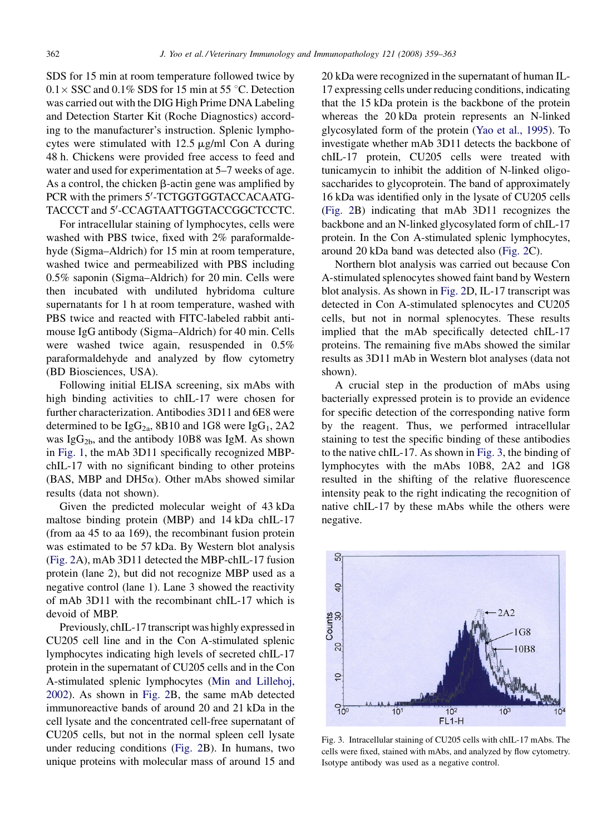SDS for 15 min at room temperature followed twice by  $0.1 \times$  SSC and 0.1% SDS for 15 min at 55 °C. Detection was carried out with the DIG High Prime DNA Labeling and Detection Starter Kit (Roche Diagnostics) according to the manufacturer's instruction. Splenic lymphocytes were stimulated with  $12.5 \mu g/ml$  Con A during 48 h. Chickens were provided free access to feed and water and used for experimentation at 5–7 weeks of age. As a control, the chicken  $\beta$ -actin gene was amplified by PCR with the primers 5'-TCTGGTGGTACCACAATG-TACCCT and 5'-CCAGTAATTGGTACCGGCTCCTC.

For intracellular staining of lymphocytes, cells were washed with PBS twice, fixed with 2% paraformaldehyde (Sigma–Aldrich) for 15 min at room temperature, washed twice and permeabilized with PBS including 0.5% saponin (Sigma–Aldrich) for 20 min. Cells were then incubated with undiluted hybridoma culture supernatants for 1 h at room temperature, washed with PBS twice and reacted with FITC-labeled rabbit antimouse IgG antibody (Sigma–Aldrich) for 40 min. Cells were washed twice again, resuspended in 0.5% paraformaldehyde and analyzed by flow cytometry (BD Biosciences, USA).

Following initial ELISA screening, six mAbs with high binding activities to chIL-17 were chosen for further characterization. Antibodies 3D11 and 6E8 were determined to be  $IgG_{2a}$ , 8B10 and 1G8 were  $IgG_1$ , 2A2 was Ig $G_{2b}$ , and the antibody 10B8 was IgM. As shown in [Fig. 1](#page-1-0), the mAb 3D11 specifically recognized MBPchIL-17 with no significant binding to other proteins (BAS, MBP and DH5 $\alpha$ ). Other mAbs showed similar results (data not shown).

Given the predicted molecular weight of 43 kDa maltose binding protein (MBP) and 14 kDa chIL-17 (from aa 45 to aa 169), the recombinant fusion protein was estimated to be 57 kDa. By Western blot analysis [\(Fig. 2](#page-2-0)A), mAb 3D11 detected the MBP-chIL-17 fusion protein (lane 2), but did not recognize MBP used as a negative control (lane 1). Lane 3 showed the reactivity of mAb 3D11 with the recombinant chIL-17 which is devoid of MBP.

Previously, chIL-17 transcript was highly expressed in CU205 cell line and in the Con A-stimulated splenic lymphocytes indicating high levels of secreted chIL-17 protein in the supernatant of CU205 cells and in the Con A-stimulated splenic lymphocytes [\(Min and Lillehoj,](#page-4-0) [2002\)](#page-4-0). As shown in [Fig. 2B](#page-2-0), the same mAb detected immunoreactive bands of around 20 and 21 kDa in the cell lysate and the concentrated cell-free supernatant of CU205 cells, but not in the normal spleen cell lysate under reducing conditions ([Fig. 2B](#page-2-0)). In humans, two unique proteins with molecular mass of around 15 and

20 kDa were recognized in the supernatant of human IL-17 expressing cells under reducing conditions, indicating that the 15 kDa protein is the backbone of the protein whereas the 20 kDa protein represents an N-linked glycosylated form of the protein ([Yao et al., 1995](#page-4-0)). To investigate whether mAb 3D11 detects the backbone of chIL-17 protein, CU205 cells were treated with tunicamycin to inhibit the addition of N-linked oligosaccharides to glycoprotein. The band of approximately 16 kDa was identified only in the lysate of CU205 cells [\(Fig. 2](#page-2-0)B) indicating that mAb 3D11 recognizes the backbone and an N-linked glycosylated form of chIL-17 protein. In the Con A-stimulated splenic lymphocytes, around 20 kDa band was detected also [\(Fig. 2](#page-2-0)C).

Northern blot analysis was carried out because Con A-stimulated splenocytes showed faint band by Western blot analysis. As shown in [Fig. 2](#page-2-0)D, IL-17 transcript was detected in Con A-stimulated splenocytes and CU205 cells, but not in normal splenocytes. These results implied that the mAb specifically detected chIL-17 proteins. The remaining five mAbs showed the similar results as 3D11 mAb in Western blot analyses (data not shown).

A crucial step in the production of mAbs using bacterially expressed protein is to provide an evidence for specific detection of the corresponding native form by the reagent. Thus, we performed intracellular staining to test the specific binding of these antibodies to the native chIL-17. As shown in Fig. 3, the binding of lymphocytes with the mAbs 10B8, 2A2 and 1G8 resulted in the shifting of the relative fluorescence intensity peak to the right indicating the recognition of native chIL-17 by these mAbs while the others were negative.



Fig. 3. Intracellular staining of CU205 cells with chIL-17 mAbs. The cells were fixed, stained with mAbs, and analyzed by flow cytometry. Isotype antibody was used as a negative control.